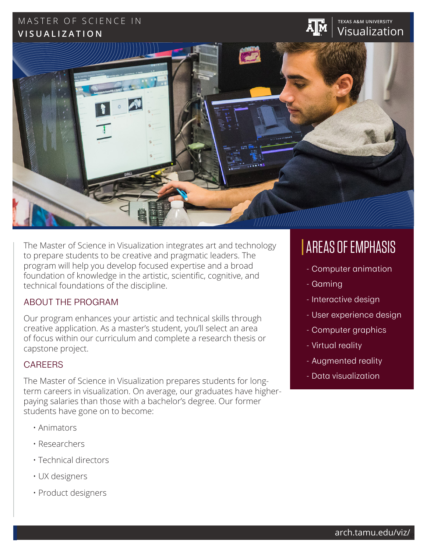## MASTER OF SCIENCE IN **TEXAS A&M UNIVERSITY VISUALIZATION**



The Master of Science in Visualization integrates art and technology to prepare students to be creative and pragmatic leaders. The program will help you develop focused expertise and a broad foundation of knowledge in the artistic, scientific, cognitive, and technical foundations of the discipline.

## ABOUT THE PROGRAM

Our program enhances your artistic and technical skills through creative application. As a master's student, you'll select an area of focus within our curriculum and complete a research thesis or capstone project.

## **CAREERS**

The Master of Science in Visualization prepares students for longterm careers in visualization. On average, our graduates have higherpaying salaries than those with a bachelor's degree. Our former students have gone on to become:

- Animators
- Researchers
- Technical directors
- UX designers
- Product designers

# AREAS OF EMPHASIS

Visualization

- Computer animation
- Gaming
- Interactive design
- User experience design
- Computer graphics
- Virtual reality
- Augmented reality
- Data visualization